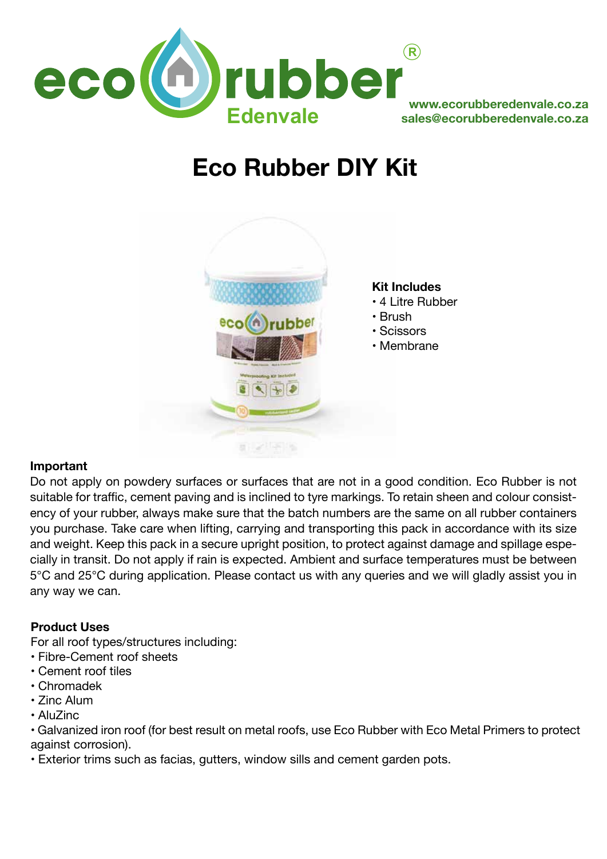

**www.ecorubberedenvale.co.za sales@ecorubberedenvale.co.za**

# **Eco Rubber DIY Kit**



#### **Kit Includes** • 4 Litre Rubber

- 
- Brush • Scissors
- Membrane

# **Important**

Do not apply on powdery surfaces or surfaces that are not in a good condition. Eco Rubber is not suitable for traffic, cement paving and is inclined to tyre markings. To retain sheen and colour consistency of your rubber, always make sure that the batch numbers are the same on all rubber containers you purchase. Take care when lifting, carrying and transporting this pack in accordance with its size and weight. Keep this pack in a secure upright position, to protect against damage and spillage especially in transit. Do not apply if rain is expected. Ambient and surface temperatures must be between 5°C and 25°C during application. Please contact us with any queries and we will gladly assist you in any way we can.

# **Product Uses**

For all roof types/structures including:

- Fibre-Cement roof sheets
- Cement roof tiles
- Chromadek
- Zinc Alum
- AluZinc

• Galvanized iron roof (for best result on metal roofs, use Eco Rubber with Eco Metal Primers to protect against corrosion).

• Exterior trims such as facias, gutters, window sills and cement garden pots.